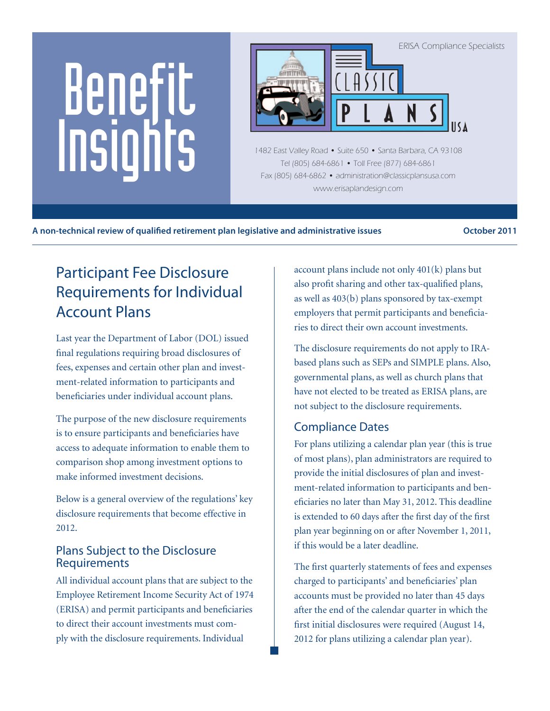# Benefit Insights



1482 East Valley Road • Suite 650 • Santa Barbara, CA 93108 Tel (805) 684-6861 • Toll Free (877) 684-6861 Fax (805) 684-6862 • administration@classicplansusa.com www.erisaplandesign.com

**A non-technical review of qualified retirement plan legislative and administrative issues October 2011**

# Participant Fee Disclosure Requirements for Individual Account Plans

Last year the Department of Labor (DOL) issued final regulations requiring broad disclosures of fees, expenses and certain other plan and investment-related information to participants and beneficiaries under individual account plans.

The purpose of the new disclosure requirements is to ensure participants and beneficiaries have access to adequate information to enable them to comparison shop among investment options to make informed investment decisions.

Below is a general overview of the regulations' key disclosure requirements that become effective in 2012.

#### Plans Subject to the Disclosure **Requirements**

All individual account plans that are subject to the Employee Retirement Income Security Act of 1974 (ERISA) and permit participants and beneficiaries to direct their account investments must comply with the disclosure requirements. Individual

account plans include not only 401(k) plans but also profit sharing and other tax-qualified plans, as well as 403(b) plans sponsored by tax-exempt employers that permit participants and beneficiaries to direct their own account investments.

The disclosure requirements do not apply to IRAbased plans such as SEPs and SIMPLE plans. Also, governmental plans, as well as church plans that have not elected to be treated as ERISA plans, are not subject to the disclosure requirements.

### Compliance Dates

For plans utilizing a calendar plan year (this is true of most plans), plan administrators are required to provide the initial disclosures of plan and investment-related information to participants and beneficiaries no later than May 31, 2012. This deadline is extended to 60 days after the first day of the first plan year beginning on or after November 1, 2011, if this would be a later deadline.

The first quarterly statements of fees and expenses charged to participants' and beneficiaries' plan accounts must be provided no later than 45 days after the end of the calendar quarter in which the first initial disclosures were required (August 14, 2012 for plans utilizing a calendar plan year).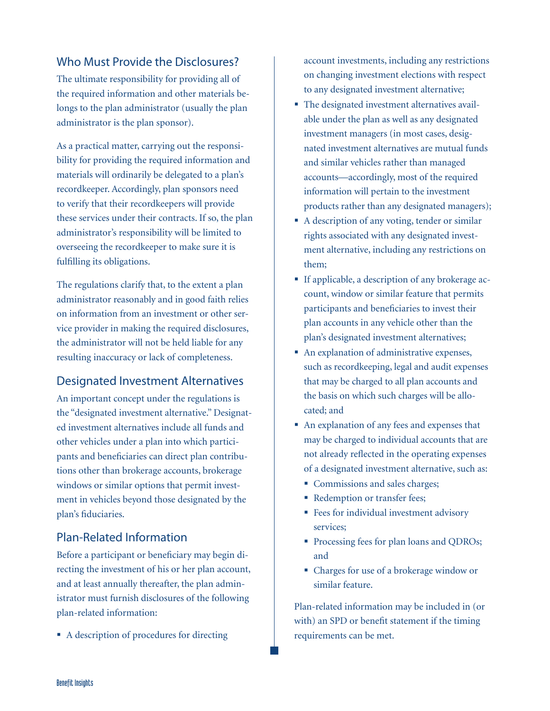#### Who Must Provide the Disclosures?

The ultimate responsibility for providing all of the required information and other materials belongs to the plan administrator (usually the plan administrator is the plan sponsor).

As a practical matter, carrying out the responsibility for providing the required information and materials will ordinarily be delegated to a plan's recordkeeper. Accordingly, plan sponsors need to verify that their recordkeepers will provide these services under their contracts. If so, the plan administrator's responsibility will be limited to overseeing the recordkeeper to make sure it is fulfilling its obligations.

The regulations clarify that, to the extent a plan administrator reasonably and in good faith relies on information from an investment or other service provider in making the required disclosures, the administrator will not be held liable for any resulting inaccuracy or lack of completeness.

### Designated Investment Alternatives

An important concept under the regulations is the "designated investment alternative." Designated investment alternatives include all funds and other vehicles under a plan into which participants and beneficiaries can direct plan contributions other than brokerage accounts, brokerage windows or similar options that permit investment in vehicles beyond those designated by the plan's fiduciaries.

#### Plan-Related Information

Before a participant or beneficiary may begin directing the investment of his or her plan account, and at least annually thereafter, the plan administrator must furnish disclosures of the following plan-related information:

■ A description of procedures for directing

account investments, including any restrictions on changing investment elections with respect to any designated investment alternative;

- The designated investment alternatives available under the plan as well as any designated investment managers (in most cases, designated investment alternatives are mutual funds and similar vehicles rather than managed accounts—accordingly, most of the required information will pertain to the investment products rather than any designated managers);
- A description of any voting, tender or similar rights associated with any designated investment alternative, including any restrictions on them;
- If applicable, a description of any brokerage account, window or similar feature that permits participants and beneficiaries to invest their plan accounts in any vehicle other than the plan's designated investment alternatives;
- An explanation of administrative expenses, such as recordkeeping, legal and audit expenses that may be charged to all plan accounts and the basis on which such charges will be allocated; and
- An explanation of any fees and expenses that may be charged to individual accounts that are not already reflected in the operating expenses of a designated investment alternative, such as:
	- Commissions and sales charges;
	- Redemption or transfer fees;
	- **Fees for individual investment advisory** services;
	- **Processing fees for plan loans and QDROs;** and
	- Charges for use of a brokerage window or similar feature.

Plan-related information may be included in (or with) an SPD or benefit statement if the timing requirements can be met.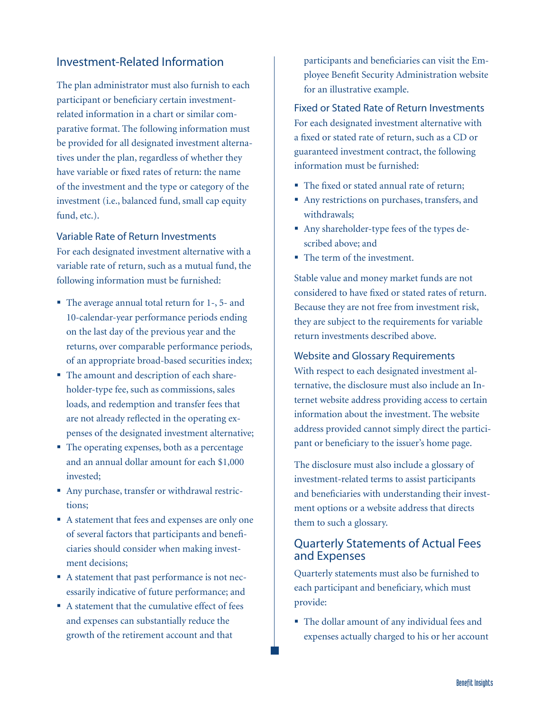#### Investment-Related Information

The plan administrator must also furnish to each participant or beneficiary certain investmentrelated information in a chart or similar comparative format. The following information must be provided for all designated investment alternatives under the plan, regardless of whether they have variable or fixed rates of return: the name of the investment and the type or category of the investment (i.e., balanced fund, small cap equity fund, etc.).

#### Variable Rate of Return Investments

For each designated investment alternative with a variable rate of return, such as a mutual fund, the following information must be furnished:

- The average annual total return for 1-, 5- and 10-calendar-year performance periods ending on the last day of the previous year and the returns, over comparable performance periods, of an appropriate broad-based securities index;
- The amount and description of each shareholder-type fee, such as commissions, sales loads, and redemption and transfer fees that are not already reflected in the operating expenses of the designated investment alternative;
- The operating expenses, both as a percentage and an annual dollar amount for each \$1,000 invested;
- Any purchase, transfer or withdrawal restrictions;
- A statement that fees and expenses are only one of several factors that participants and beneficiaries should consider when making investment decisions;
- A statement that past performance is not necessarily indicative of future performance; and
- A statement that the cumulative effect of fees and expenses can substantially reduce the growth of the retirement account and that

participants and beneficiaries can visit the Employee Benefit Security Administration website for an illustrative example.

Fixed or Stated Rate of Return Investments For each designated investment alternative with a fixed or stated rate of return, such as a CD or guaranteed investment contract, the following information must be furnished:

- The fixed or stated annual rate of return;
- Any restrictions on purchases, transfers, and withdrawals;
- Any shareholder-type fees of the types described above; and
- The term of the investment.

Stable value and money market funds are not considered to have fixed or stated rates of return. Because they are not free from investment risk, they are subject to the requirements for variable return investments described above.

#### Website and Glossary Requirements

With respect to each designated investment alternative, the disclosure must also include an Internet website address providing access to certain information about the investment. The website address provided cannot simply direct the participant or beneficiary to the issuer's home page.

The disclosure must also include a glossary of investment-related terms to assist participants and beneficiaries with understanding their investment options or a website address that directs them to such a glossary.

#### Quarterly Statements of Actual Fees and Expenses

Quarterly statements must also be furnished to each participant and beneficiary, which must provide:

 The dollar amount of any individual fees and expenses actually charged to his or her account